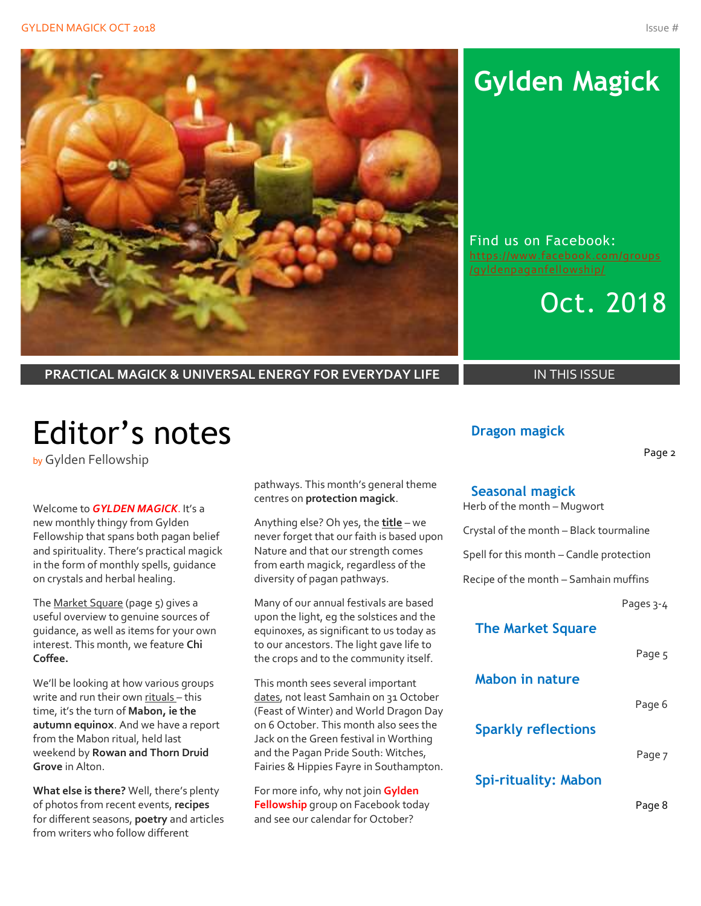

# **Gylden Magick**

Find us on Facebook: [https://www.facebook.com/groups](https://www.facebook.com/groups/gyldenpaganfellowship/)



**PRACTICAL MAGICK & UNIVERSAL ENERGY FOR EVERYDAY LIFE IN THIS ISSUE** 

# Editor's notes

by Gylden Fellowship

#### Welcome to *GYLDEN MAGICK*. It's a

new monthly thingy from Gylden Fellowship that spans both pagan belief and spirituality. There's practical magick in the form of monthly spells, guidance on crystals and herbal healing.

The Market Square (page 5) gives a useful overview to genuine sources of guidance, as well as items for your own interest. This month, we feature **Chi Coffee.**

We'll be looking at how various groups write and run their own rituals – this time, it's the turn of **Mabon, ie the autumn equinox**. And we have a report from the Mabon ritual, held last weekend by **Rowan and Thorn Druid Grove** in Alton.

**What else is there?** Well, there's plenty of photos from recent events, **recipes** for different seasons, **poetry** and articles from writers who follow different

pathways. This month's general theme centres on **protection magick**.

Anything else? Oh yes, the **title** – we never forget that our faith is based upon Nature and that our strength comes from earth magick, regardless of the diversity of pagan pathways.

Many of our annual festivals are based upon the light, eg the solstices and the equinoxes, as significant to us today as to our ancestors. The light gave life to the crops and to the community itself.

This month sees several important dates, not least Samhain on 31 October (Feast of Winter) and World Dragon Day on 6 October. This month also sees the Jack on the Green festival in Worthing and the Pagan Pride South: Witches, Fairies & Hippies Fayre in Southampton.

For more info, why not join **Gylden Fellowship** group on Facebook today and see our calendar for October?

### **Dragon magick**

Page 2

#### **Seasonal magick**

Herb of the month – Mugwort

Crystal of the month – Black tourmaline

Spell for this month – Candle protection

Recipe of the month – Samhain muffins

Pages 3-4

### **The Market Square**

Page 5

### **Mabon in nature**

Page 6

**Sparkly reflections**

Page 7

### **Spi-rituality: Mabon**

Page 8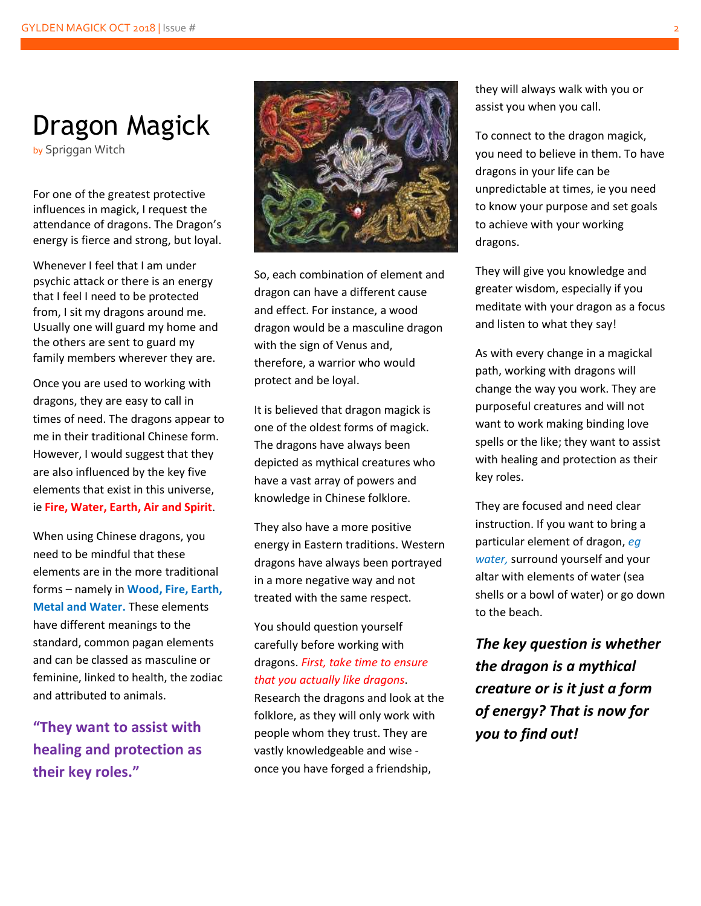# Dragon Magick

by Spriggan Witch

For one of the greatest protective influences in magick, I request the attendance of dragons. The Dragon's energy is fierce and strong, but loyal.

Whenever I feel that I am under psychic attack or there is an energy that I feel I need to be protected from, I sit my dragons around me. Usually one will guard my home and the others are sent to guard my family members wherever they are.

Once you are used to working with dragons, they are easy to call in times of need. The dragons appear to me in their traditional Chinese form. However, I would suggest that they are also influenced by the key five elements that exist in this universe, ie **Fire, Water, Earth, Air and Spirit**.

When using Chinese dragons, you need to be mindful that these elements are in the more traditional forms – namely in **Wood, Fire, Earth, Metal and Water.** These elements have different meanings to the standard, common pagan elements and can be classed as masculine or feminine, linked to health, the zodiac and attributed to animals.

**"They want to assist with healing and protection as their key roles."**



So, each combination of element and dragon can have a different cause and effect. For instance, a wood dragon would be a masculine dragon with the sign of Venus and, therefore, a warrior who would protect and be loyal.

It is believed that dragon magick is one of the oldest forms of magick. The dragons have always been depicted as mythical creatures who have a vast array of powers and knowledge in Chinese folklore.

They also have a more positive energy in Eastern traditions. Western dragons have always been portrayed in a more negative way and not treated with the same respect.

### You should question yourself carefully before working with dragons. *First, take time to ensure that you actually like dragons*.

Research the dragons and look at the folklore, as they will only work with people whom they trust. They are vastly knowledgeable and wise once you have forged a friendship,

they will always walk with you or assist you when you call.

To connect to the dragon magick, you need to believe in them. To have dragons in your life can be unpredictable at times, ie you need to know your purpose and set goals to achieve with your working dragons.

They will give you knowledge and greater wisdom, especially if you meditate with your dragon as a focus and listen to what they say!

As with every change in a magickal path, working with dragons will change the way you work. They are purposeful creatures and will not want to work making binding love spells or the like; they want to assist with healing and protection as their key roles.

They are focused and need clear instruction. If you want to bring a particular element of dragon, *eg water,* surround yourself and your altar with elements of water (sea shells or a bowl of water) or go down to the beach.

*The key question is whether the dragon is a mythical creature or is it just a form of energy? That is now for you to find out!*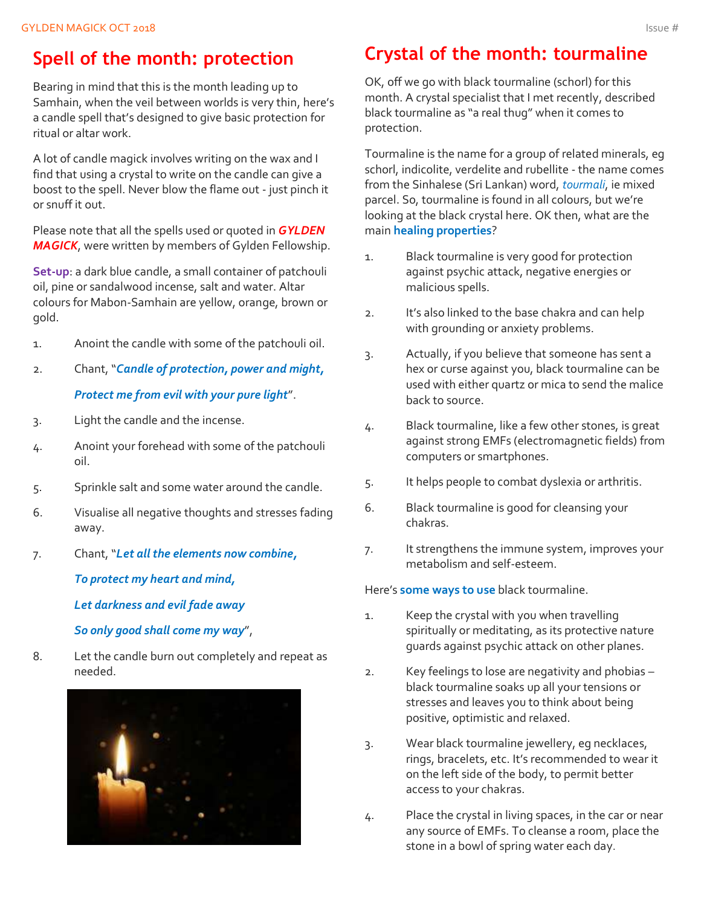# **Spell of the month: protection**

Bearing in mind that this is the month leading up to Samhain, when the veil between worlds is very thin, here's a candle spell that's designed to give basic protection for ritual or altar work.

A lot of candle magick involves writing on the wax and I find that using a crystal to write on the candle can give a boost to the spell. Never blow the flame out - just pinch it or snuff it out.

Please note that all the spells used or quoted in *GYLDEN MAGICK*, were written by members of Gylden Fellowship.

**Set-up**: a dark blue candle, a small container of patchouli oil, pine or sandalwood incense, salt and water. Altar colours for Mabon-Samhain are yellow, orange, brown or gold.

- 1. Anoint the candle with some of the patchouli oil.
- 2. Chant, "*Candle of protection, power and might, Protect me from evil with your pure light*".
- 3. Light the candle and the incense.
- 4. Anoint your forehead with some of the patchouli oil.
- 5. Sprinkle salt and some water around the candle.
- 6. Visualise all negative thoughts and stresses fading away.
- 7. Chant, "*Let all the elements now combine,*

*To protect my heart and mind,*

*Let darkness and evil fade away*

*So only good shall come my way*",

8. Let the candle burn out completely and repeat as needed.



# **Crystal of the month: tourmaline**

OK, off we go with black tourmaline (schorl) for this month. A crystal specialist that I met recently, described black tourmaline as "a real thug" when it comes to protection.

Tourmaline is the name for a group of related minerals, eg schorl, indicolite, verdelite and rubellite - the name comes from the Sinhalese (Sri Lankan) word, *tourmali*, ie mixed parcel. So, tourmaline is found in all colours, but we're looking at the black crystal here. OK then, what are the main **healing properties**?

- 1. Black tourmaline is very good for protection against psychic attack, negative energies or malicious spells.
- 2. It's also linked to the base chakra and can help with grounding or anxiety problems.
- 3. Actually, if you believe that someone has sent a hex or curse against you, black tourmaline can be used with either quartz or mica to send the malice back to source.
- 4. Black tourmaline, like a few other stones, is great against strong EMFs (electromagnetic fields) from computers or smartphones.
- 5. It helps people to combat dyslexia or arthritis.
- 6. Black tourmaline is good for cleansing your chakras.
- 7. It strengthens the immune system, improves your metabolism and self-esteem.

Here's **some ways to use** black tourmaline.

- 1. Keep the crystal with you when travelling spiritually or meditating, as its protective nature guards against psychic attack on other planes.
- 2. Key feelings to lose are negativity and phobias black tourmaline soaks up all your tensions or stresses and leaves you to think about being positive, optimistic and relaxed.
- 3. Wear black tourmaline jewellery, eg necklaces, rings, bracelets, etc. It's recommended to wear it on the left side of the body, to permit better access to your chakras.
- 4. Place the crystal in living spaces, in the car or near any source of EMFs. To cleanse a room, place the stone in a bowl of spring water each day.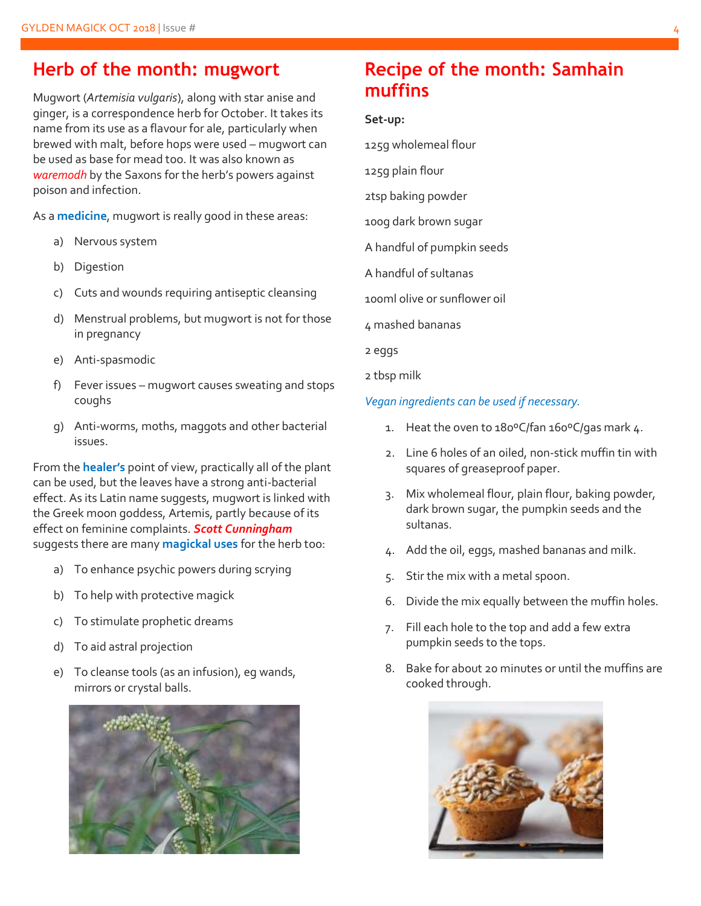## **Herb of the month: mugwort**

Mugwort (*Artemisia vulgaris*), along with star anise and ginger, is a correspondence herb for October. It takes its name from its use as a flavour for ale, particularly when brewed with malt, before hops were used – mugwort can be used as base for mead too. It was also known as *waremodh* by the Saxons for the herb's powers against poison and infection.

As a **medicine**, mugwort is really good in these areas:

- a) Nervous system
- b) Digestion
- c) Cuts and wounds requiring antiseptic cleansing
- d) Menstrual problems, but mugwort is not for those in pregnancy
- e) Anti-spasmodic
- f) Fever issues mugwort causes sweating and stops coughs
- g) Anti-worms, moths, maggots and other bacterial issues.

From the **healer's** point of view, practically all of the plant can be used, but the leaves have a strong anti-bacterial effect. As its Latin name suggests, mugwort is linked with the Greek moon goddess, Artemis, partly because of its effect on feminine complaints. *Scott Cunningham* suggests there are many **magickal uses** for the herb too:

- a) To enhance psychic powers during scrying
- b) To help with protective magick
- c) To stimulate prophetic dreams
- d) To aid astral projection
- e) To cleanse tools (as an infusion), eg wands, mirrors or crystal balls.



# **Recipe of the month: Samhain muffins**

#### **Set-up:**

125g wholemeal flour

- 125g plain flour
- 2tsp baking powder
- 100g dark brown sugar
- A handful of pumpkin seeds
- A handful of sultanas
- 100ml olive or sunflower oil
- 4 mashed bananas
- 2 eggs
- 2 tbsp milk

#### *Vegan ingredients can be used if necessary.*

- 1. Heat the oven to 180°C/fan 160°C/gas mark 4.
- 2. Line 6 holes of an oiled, non-stick muffin tin with squares of greaseproof paper.
- 3. Mix wholemeal flour, plain flour, baking powder, dark brown sugar, the pumpkin seeds and the sultanas.
- 4. Add the oil, eggs, mashed bananas and milk.
- 5. Stir the mix with a metal spoon.
- 6. Divide the mix equally between the muffin holes.
- 7. Fill each hole to the top and add a few extra pumpkin seeds to the tops.
- 8. Bake for about 20 minutes or until the muffins are cooked through.

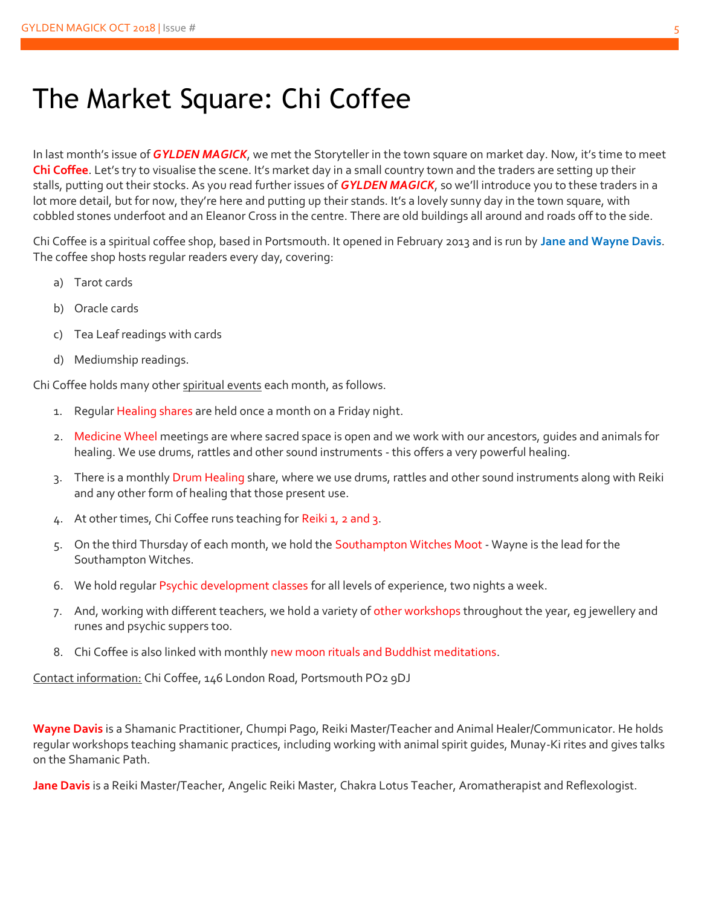# The Market Square: Chi Coffee

In last month's issue of *GYLDEN MAGICK*, we met the Storyteller in the town square on market day. Now, it's time to meet **Chi Coffee**. Let's try to visualise the scene. It's market day in a small country town and the traders are setting up their stalls, putting out their stocks. As you read further issues of *GYLDEN MAGICK*, so we'll introduce you to these traders in a lot more detail, but for now, they're here and putting up their stands. It's a lovely sunny day in the town square, with cobbled stones underfoot and an Eleanor Cross in the centre. There are old buildings all around and roads off to the side.

Chi Coffee is a spiritual coffee shop, based in Portsmouth. It opened in February 2013 and is run by **Jane and Wayne Davis**. The coffee shop hosts regular readers every day, covering:

- a) Tarot cards
- b) Oracle cards
- c) Tea Leaf readings with cards
- d) Mediumship readings.

Chi Coffee holds many other spiritual events each month, as follows.

- 1. Regular Healing shares are held once a month on a Friday night.
- 2. Medicine Wheel meetings are where sacred space is open and we work with our ancestors, guides and animals for healing. We use drums, rattles and other sound instruments - this offers a very powerful healing.
- 3. There is a monthly Drum Healing share, where we use drums, rattles and other sound instruments along with Reiki and any other form of healing that those present use.
- 4. At other times, Chi Coffee runs teaching for Reiki 1, 2 and 3.
- 5. On the third Thursday of each month, we hold the Southampton Witches Moot Wayne is the lead for the Southampton Witches.
- 6. We hold regular Psychic development classes for all levels of experience, two nights a week.
- 7. And, working with different teachers, we hold a variety of other workshops throughout the year, eg jewellery and runes and psychic suppers too.
- 8. Chi Coffee is also linked with monthly new moon rituals and Buddhist meditations.

Contact information: Chi Coffee, 146 London Road, Portsmouth PO2 9DJ

**Wayne Davis** is a Shamanic Practitioner, Chumpi Pago, Reiki Master/Teacher and Animal Healer/Communicator. He holds regular workshops teaching shamanic practices, including working with animal spirit guides, Munay-Ki rites and gives talks on the Shamanic Path.

**Jane Davis** is a Reiki Master/Teacher, Angelic Reiki Master, Chakra Lotus Teacher, Aromatherapist and Reflexologist.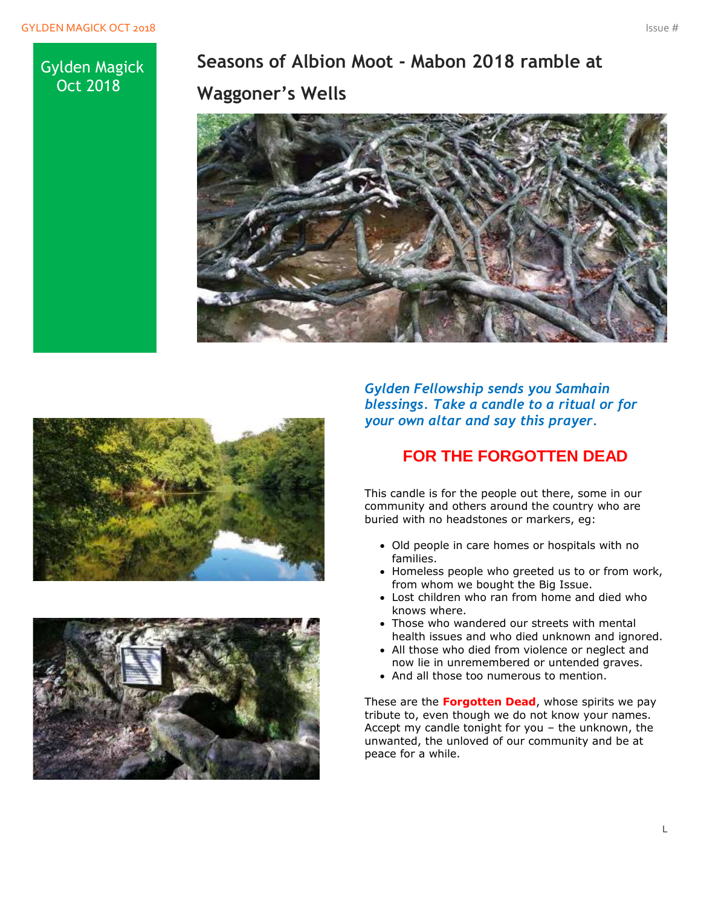### Gylden Magick Oct 2018

**Seasons of Albion Moot - Mabon 2018 ramble at Waggoner's Wells**







*Gylden Fellowship sends you Samhain blessings. Take a candle to a ritual or for your own altar and say this prayer.*

## **FOR THE FORGOTTEN DEAD**

This candle is for the people out there, some in our community and others around the country who are buried with no headstones or markers, eg:

- Old people in care homes or hospitals with no families.
- Homeless people who greeted us to or from work, from whom we bought the Big Issue.
- Lost children who ran from home and died who knows where.
- Those who wandered our streets with mental health issues and who died unknown and ignored.
- All those who died from violence or neglect and now lie in unremembered or untended graves.
- And all those too numerous to mention.

These are the **Forgotten Dead**, whose spirits we pay tribute to, even though we do not know your names. Accept my candle tonight for you – the unknown, the unwanted, the unloved of our community and be at peace for a while.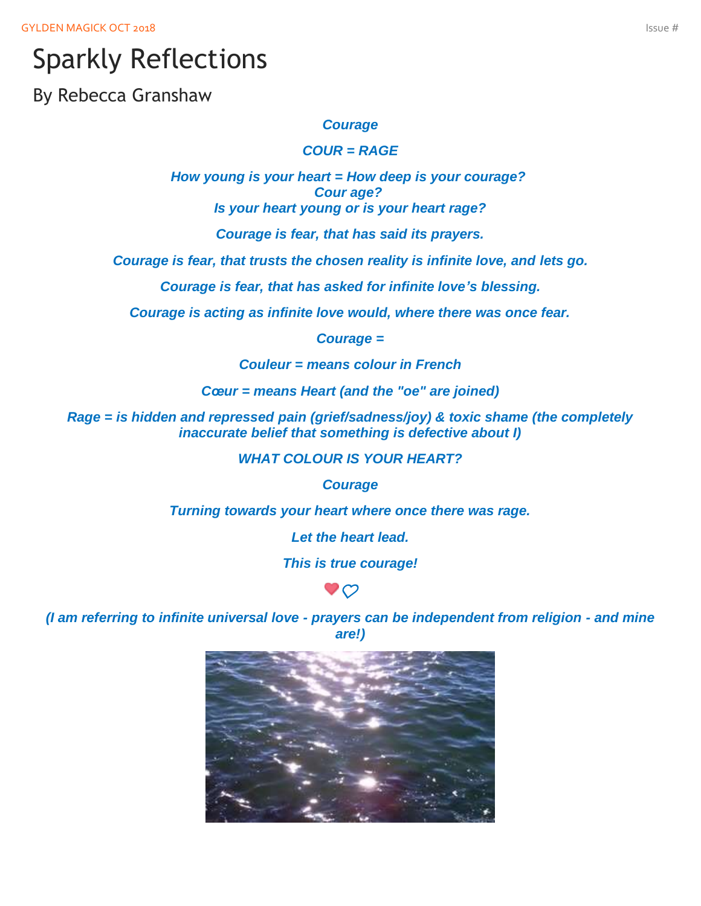# Sparkly Reflections

By Rebecca Granshaw

#### *Courage*

*COUR = RAGE*

*How young is your heart = How deep is your courage? Cour age? Is your heart young or is your heart rage?*

*Courage is fear, that has said its prayers.*

*Courage is fear, that trusts the chosen reality is infinite love, and lets go.*

*Courage is fear, that has asked for infinite love's blessing.*

*Courage is acting as infinite love would, where there was once fear.*

*Courage =*

*Couleur = means colour in French*

*Cœur = means Heart (and the "oe" are joined)*

*Rage = is hidden and repressed pain (grief/sadness/joy) & toxic shame (the completely inaccurate belief that something is defective about I)*

*WHAT COLOUR IS YOUR HEART?*

*Courage*

*Turning towards your heart where once there was rage.*

*Let the heart lead.*

*This is true courage!*



*(I am referring to infinite universal love - prayers can be independent from religion - and mine are!)*